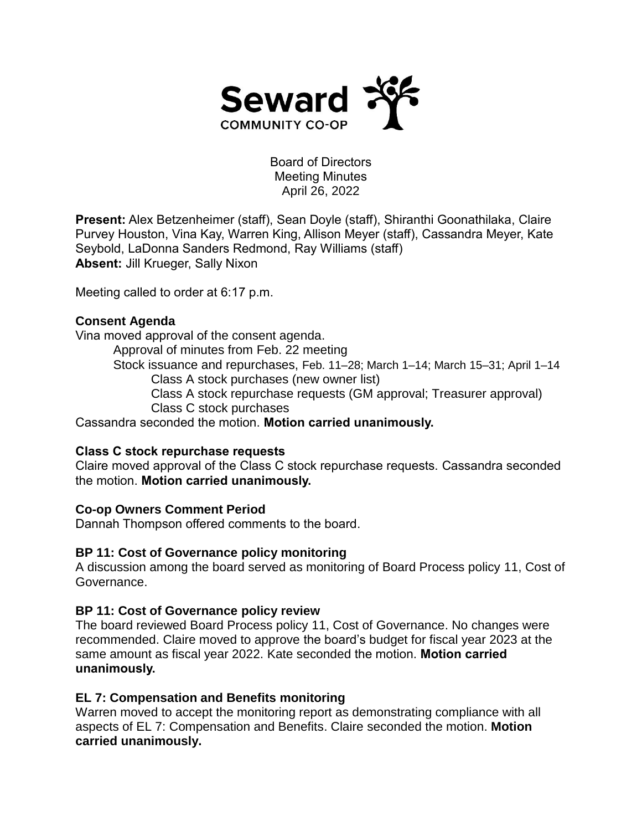

Board of Directors Meeting Minutes April 26, 2022

**Present:** Alex Betzenheimer (staff), Sean Doyle (staff), Shiranthi Goonathilaka, Claire Purvey Houston, Vina Kay, Warren King, Allison Meyer (staff), Cassandra Meyer, Kate Seybold, LaDonna Sanders Redmond, Ray Williams (staff) **Absent:** Jill Krueger, Sally Nixon

Meeting called to order at 6:17 p.m.

# **Consent Agenda**

Vina moved approval of the consent agenda.

Approval of minutes from Feb. 22 meeting

Stock issuance and repurchases, Feb. 11–28; March 1–14; March 15–31; April 1–14 Class A stock purchases (new owner list)

Class A stock repurchase requests (GM approval; Treasurer approval) Class C stock purchases

Cassandra seconded the motion. **Motion carried unanimously.**

### **Class C stock repurchase requests**

Claire moved approval of the Class C stock repurchase requests. Cassandra seconded the motion. **Motion carried unanimously.**

# **Co-op Owners Comment Period**

Dannah Thompson offered comments to the board.

### **BP 11: Cost of Governance policy monitoring**

A discussion among the board served as monitoring of Board Process policy 11, Cost of Governance.

### **BP 11: Cost of Governance policy review**

The board reviewed Board Process policy 11, Cost of Governance. No changes were recommended. Claire moved to approve the board's budget for fiscal year 2023 at the same amount as fiscal year 2022. Kate seconded the motion. **Motion carried unanimously.**

# **EL 7: Compensation and Benefits monitoring**

Warren moved to accept the monitoring report as demonstrating compliance with all aspects of EL 7: Compensation and Benefits. Claire seconded the motion. **Motion carried unanimously.**